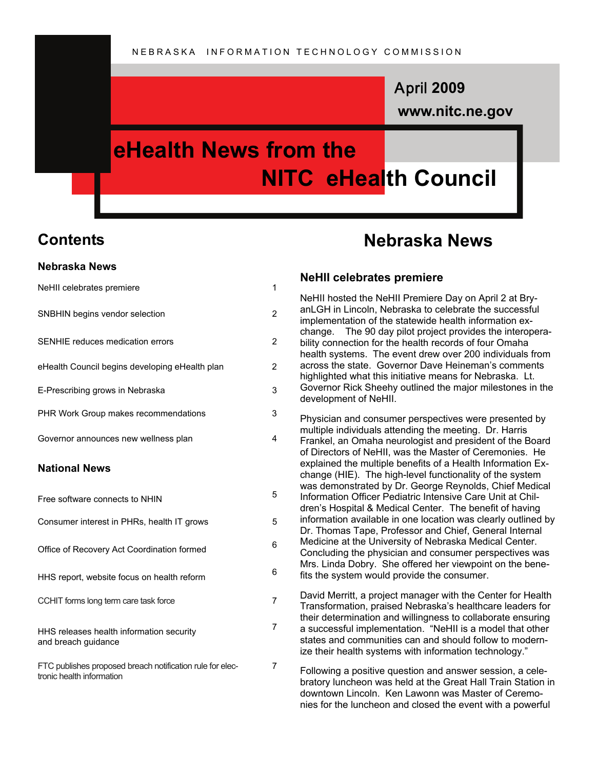# **www.nitc.ne.gov** April **2009**

# **eHealth News from the NITC eHealth Council**

# **Contents**

#### **Nebraska News**

| NeHII celebrates premiere                                                              | 1              |
|----------------------------------------------------------------------------------------|----------------|
| SNBHIN begins vendor selection                                                         | 2              |
| SENHIE reduces medication errors                                                       | $\overline{2}$ |
| eHealth Council begins developing eHealth plan                                         | 2              |
| E-Prescribing grows in Nebraska                                                        | 3              |
| PHR Work Group makes recommendations                                                   | 3              |
| Governor announces new wellness plan                                                   | 4              |
| <b>National News</b>                                                                   |                |
| Free software connects to NHIN                                                         | 5              |
| Consumer interest in PHRs, health IT grows                                             | 5              |
| Office of Recovery Act Coordination formed                                             | 6              |
| HHS report, website focus on health reform                                             | 6              |
| CCHIT forms long term care task force                                                  | 7              |
| HHS releases health information security<br>and breach guidance                        | 7              |
| FTC publishes proposed breach notification rule for elec-<br>tronic health information | 7              |

# **Nebraska News**

#### **NeHII celebrates premiere**

NeHII hosted the NeHII Premiere Day on April 2 at BryanLGH in Lincoln, Nebraska to celebrate the successful implementation of the statewide health information exchange. The 90 day pilot project provides the interoperability connection for the health records of four Omaha health systems. The event drew over 200 individuals from across the state. Governor Dave Heineman's comments highlighted what this initiative means for Nebraska. Lt. Governor Rick Sheehy outlined the major milestones in the development of NeHII.

Physician and consumer perspectives were presented by multiple individuals attending the meeting. Dr. Harris Frankel, an Omaha neurologist and president of the Board of Directors of NeHII, was the Master of Ceremonies. He explained the multiple benefits of a Health Information Exchange (HIE). The high-level functionality of the system was demonstrated by Dr. George Reynolds, Chief Medical Information Officer Pediatric Intensive Care Unit at Children's Hospital & Medical Center. The benefit of having information available in one location was clearly outlined by Dr. Thomas Tape, Professor and Chief, General Internal Medicine at the University of Nebraska Medical Center. Concluding the physician and consumer perspectives was Mrs. Linda Dobry. She offered her viewpoint on the benefits the system would provide the consumer.

David Merritt, a project manager with the Center for Health Transformation, praised Nebraska's healthcare leaders for their determination and willingness to collaborate ensuring a successful implementation. "NeHII is a model that other states and communities can and should follow to modernize their health systems with information technology."

Following a positive question and answer session, a celebratory luncheon was held at the Great Hall Train Station in downtown Lincoln. Ken Lawonn was Master of Ceremonies for the luncheon and closed the event with a powerful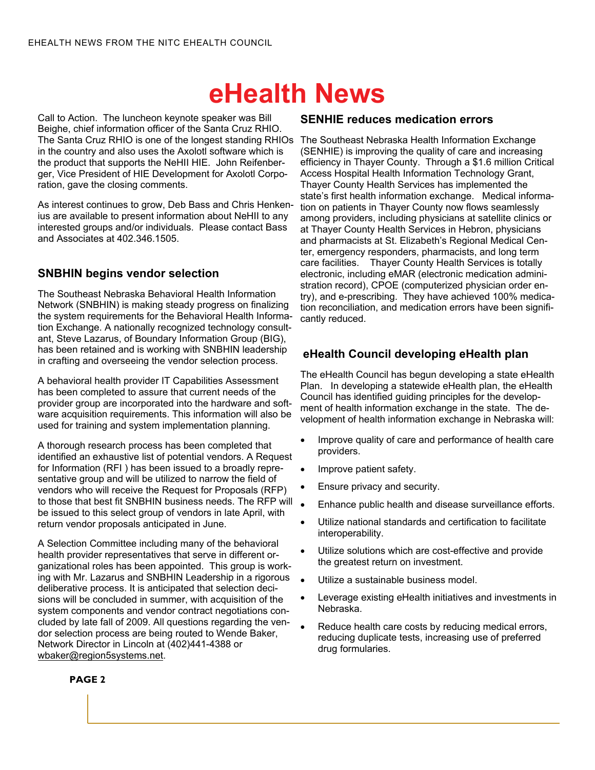Call to Action. The luncheon keynote speaker was Bill Beighe, chief information officer of the Santa Cruz RHIO. The Santa Cruz RHIO is one of the longest standing RHIOs The Southeast Nebraska Health Information Exchange in the country and also uses the Axolotl software which is the product that supports the NeHII HIE. John Reifenberger, Vice President of HIE Development for Axolotl Corporation, gave the closing comments.

As interest continues to grow, Deb Bass and Chris Henkenius are available to present information about NeHII to any interested groups and/or individuals. Please contact Bass and Associates at 402.346.1505.

## **SNBHIN begins vendor selection**

The Southeast Nebraska Behavioral Health Information Network (SNBHIN) is making steady progress on finalizing the system requirements for the Behavioral Health Information Exchange. A nationally recognized technology consultant, Steve Lazarus, of Boundary Information Group (BIG), has been retained and is working with SNBHIN leadership in crafting and overseeing the vendor selection process.

A behavioral health provider IT Capabilities Assessment has been completed to assure that current needs of the provider group are incorporated into the hardware and software acquisition requirements. This information will also be used for training and system implementation planning.

A thorough research process has been completed that identified an exhaustive list of potential vendors. A Request for Information (RFI ) has been issued to a broadly representative group and will be utilized to narrow the field of vendors who will receive the Request for Proposals (RFP) to those that best fit SNBHIN business needs. The RFP will be issued to this select group of vendors in late April, with return vendor proposals anticipated in June.

A Selection Committee including many of the behavioral health provider representatives that serve in different organizational roles has been appointed. This group is working with Mr. Lazarus and SNBHIN Leadership in a rigorous . deliberative process. It is anticipated that selection decisions will be concluded in summer, with acquisition of the system components and vendor contract negotiations concluded by late fall of 2009. All questions regarding the vendor selection process are being routed to Wende Baker, Network Director in Lincoln at (402)441-4388 or wbaker@region5systems.net.

### **SENHIE reduces medication errors**

(SENHIE) is improving the quality of care and increasing efficiency in Thayer County. Through a \$1.6 million Critical Access Hospital Health Information Technology Grant, Thayer County Health Services has implemented the state's first health information exchange. Medical information on patients in Thayer County now flows seamlessly among providers, including physicians at satellite clinics or at Thayer County Health Services in Hebron, physicians and pharmacists at St. Elizabeth's Regional Medical Center, emergency responders, pharmacists, and long term care facilities. Thayer County Health Services is totally electronic, including eMAR (electronic medication administration record), CPOE (computerized physician order entry), and e-prescribing. They have achieved 100% medication reconciliation, and medication errors have been significantly reduced.

### **eHealth Council developing eHealth plan**

The eHealth Council has begun developing a state eHealth Plan. In developing a statewide eHealth plan, the eHealth Council has identified guiding principles for the development of health information exchange in the state. The development of health information exchange in Nebraska will:

- Improve quality of care and performance of health care providers.
- Improve patient safety.
- Ensure privacy and security.
- Enhance public health and disease surveillance efforts.
- Utilize national standards and certification to facilitate interoperability.
- Utilize solutions which are cost-effective and provide the greatest return on investment.
- Utilize a sustainable business model.
- Leverage existing eHealth initiatives and investments in Nebraska.
- Reduce health care costs by reducing medical errors, reducing duplicate tests, increasing use of preferred drug formularies.

#### **PAGE 2**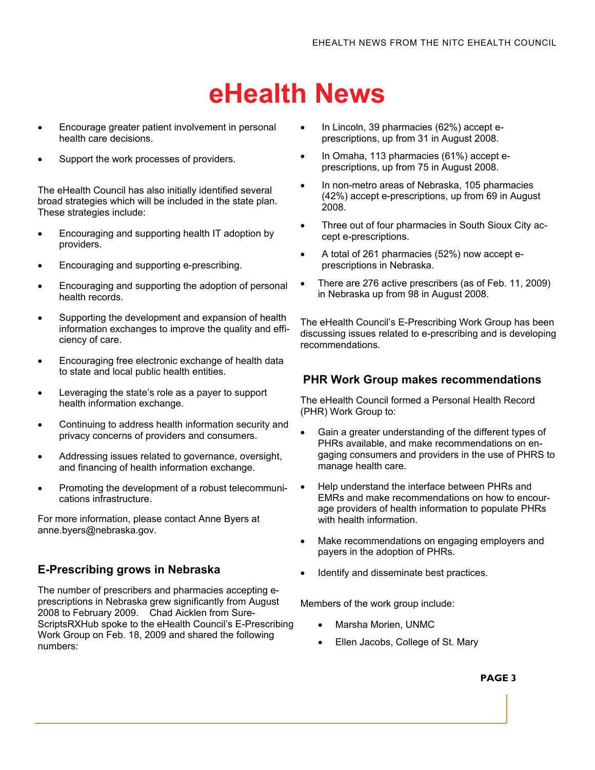- Encourage greater patient involvement in personal health care decisions.
- Support the work processes of providers.

The eHealth Council has also initially identified several broad strategies which will be included in the state plan. These strategies include:

- Encouraging and supporting health IT adoption by providers.
- Encouraging and supporting e-prescribing.
- Encouraging and supporting the adoption of personal health records.
- Supporting the development and expansion of health information exchanges to improve the quality and efficiency of care.
- Encouraging free electronic exchange of health data to state and local public health entities.
- Leveraging the state's role as a payer to support health information exchange.
- Continuing to address health information security and privacy concerns of providers and consumers.
- Addressing issues related to governance, oversight, and financing of health information exchange.
- Promoting the development of a robust telecommunications infrastructure.

For more information, please contact Anne Byers at anne.byers@nebraska.gov.

### **E-Prescribing grows in Nebraska**

The number of prescribers and pharmacies accepting eprescriptions in Nebraska grew significantly from August 2008 to February 2009. Chad Aicklen from Sure-ScriptsRXHub spoke to the eHealth Council's E-Prescribing Work Group on Feb. 18, 2009 and shared the following numbers:

- In Lincoln, 39 pharmacies (62%) accept eprescriptions, up from 31 in August 2008.
- In Omaha, 113 pharmacies (61%) accept eprescriptions, up from 75 in August 2008.
- In non-metro areas of Nebraska, 105 pharmacies (42%) accept e-prescriptions, up from 69 in August 2008.
- Three out of four pharmacies in South Sioux City accept e-prescriptions.
- A total of 261 pharmacies (52%) now accept eprescriptions in Nebraska.
- There are 276 active prescribers (as of Feb. 11, 2009) in Nebraska up from 98 in August 2008.

The eHealth Council's E-Prescribing Work Group has been discussing issues related to e-prescribing and is developing recommendations.

### **PHR Work Group makes recommendations**

The eHealth Council formed a Personal Health Record (PHR) Work Group to:

- Gain a greater understanding of the different types of PHRs available, and make recommendations on engaging consumers and providers in the use of PHRS to manage health care.
- Help understand the interface between PHRs and EMRs and make recommendations on how to encourage providers of health information to populate PHRs with health information.
- Make recommendations on engaging employers and payers in the adoption of PHRs.
- Identify and disseminate best practices.

Members of the work group include:

- Marsha Morien, UNMC
- Ellen Jacobs, College of St. Mary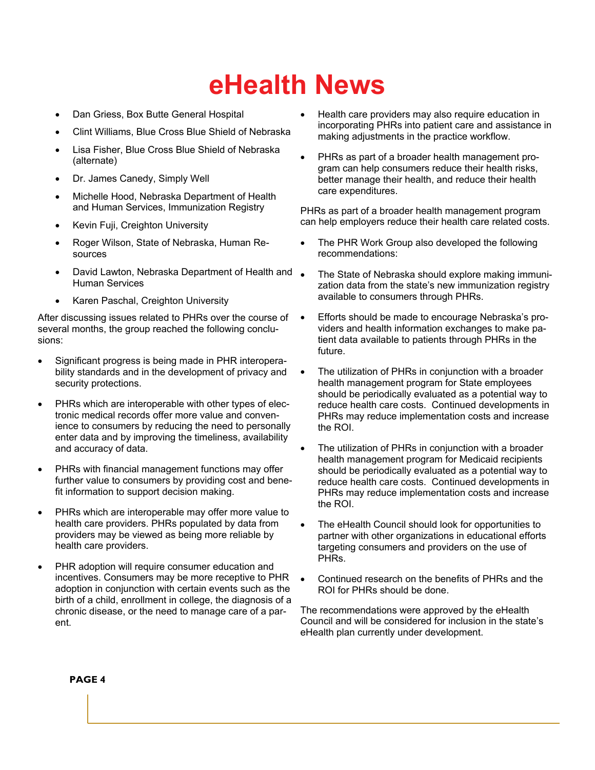- Dan Griess, Box Butte General Hospital
- Clint Williams, Blue Cross Blue Shield of Nebraska
- Lisa Fisher, Blue Cross Blue Shield of Nebraska (alternate)
- Dr. James Canedy, Simply Well
- Michelle Hood, Nebraska Department of Health and Human Services, Immunization Registry
- Kevin Fuji, Creighton University
- Roger Wilson, State of Nebraska, Human Resources
- **David Lawton, Nebraska Department of Health and** Human Services
- Karen Paschal, Creighton University

After discussing issues related to PHRs over the course of several months, the group reached the following conclusions:

- Significant progress is being made in PHR interoperability standards and in the development of privacy and security protections.
- PHRs which are interoperable with other types of electronic medical records offer more value and convenience to consumers by reducing the need to personally enter data and by improving the timeliness, availability and accuracy of data.
- PHRs with financial management functions may offer further value to consumers by providing cost and benefit information to support decision making.
- PHRs which are interoperable may offer more value to health care providers. PHRs populated by data from providers may be viewed as being more reliable by health care providers.
- PHR adoption will require consumer education and incentives. Consumers may be more receptive to PHR adoption in conjunction with certain events such as the birth of a child, enrollment in college, the diagnosis of a chronic disease, or the need to manage care of a parent.
- Health care providers may also require education in incorporating PHRs into patient care and assistance in making adjustments in the practice workflow.
- PHRs as part of a broader health management program can help consumers reduce their health risks, better manage their health, and reduce their health care expenditures.

PHRs as part of a broader health management program can help employers reduce their health care related costs.

- The PHR Work Group also developed the following recommendations:
- The State of Nebraska should explore making immunization data from the state's new immunization registry available to consumers through PHRs.
- Efforts should be made to encourage Nebraska's providers and health information exchanges to make patient data available to patients through PHRs in the future.
- The utilization of PHRs in conjunction with a broader health management program for State employees should be periodically evaluated as a potential way to reduce health care costs. Continued developments in PHRs may reduce implementation costs and increase the ROI.
- The utilization of PHRs in conjunction with a broader health management program for Medicaid recipients should be periodically evaluated as a potential way to reduce health care costs. Continued developments in PHRs may reduce implementation costs and increase the ROI.
- The eHealth Council should look for opportunities to partner with other organizations in educational efforts targeting consumers and providers on the use of PHRs.
- Continued research on the benefits of PHRs and the ROI for PHRs should be done.

The recommendations were approved by the eHealth Council and will be considered for inclusion in the state's eHealth plan currently under development.

#### **PAGE 4**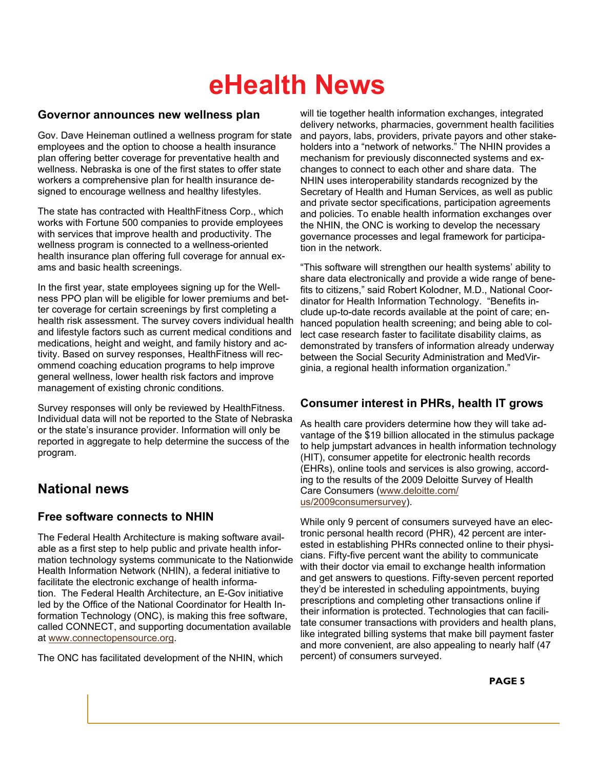### **Governor announces new wellness plan**

Gov. Dave Heineman outlined a wellness program for state employees and the option to choose a health insurance plan offering better coverage for preventative health and wellness. Nebraska is one of the first states to offer state workers a comprehensive plan for health insurance designed to encourage wellness and healthy lifestyles.

The state has contracted with HealthFitness Corp., which works with Fortune 500 companies to provide employees with services that improve health and productivity. The wellness program is connected to a wellness-oriented health insurance plan offering full coverage for annual exams and basic health screenings.

In the first year, state employees signing up for the Wellness PPO plan will be eligible for lower premiums and better coverage for certain screenings by first completing a health risk assessment. The survey covers individual health and lifestyle factors such as current medical conditions and medications, height and weight, and family history and activity. Based on survey responses, HealthFitness will recommend coaching education programs to help improve general wellness, lower health risk factors and improve management of existing chronic conditions.

Survey responses will only be reviewed by HealthFitness. Individual data will not be reported to the State of Nebraska or the state's insurance provider. Information will only be reported in aggregate to help determine the success of the program.

# **National news**

### **Free software connects to NHIN**

The Federal Health Architecture is making software available as a first step to help public and private health information technology systems communicate to the Nationwide Health Information Network (NHIN), a federal initiative to facilitate the electronic exchange of health information. The Federal Health Architecture, an E-Gov initiative led by the Office of the National Coordinator for Health Information Technology (ONC), is making this free software, called CONNECT, and supporting documentation available at [www.connectopensource.org](http://www.connectopensource.org/).

The ONC has facilitated development of the NHIN, which

will tie together health information exchanges, integrated delivery networks, pharmacies, government health facilities and payors, labs, providers, private payors and other stakeholders into a "network of networks." The NHIN provides a mechanism for previously disconnected systems and exchanges to connect to each other and share data. The NHIN uses interoperability standards recognized by the Secretary of Health and Human Services, as well as public and private sector specifications, participation agreements and policies. To enable health information exchanges over the NHIN, the ONC is working to develop the necessary governance processes and legal framework for participation in the network.

"This software will strengthen our health systems' ability to share data electronically and provide a wide range of benefits to citizens," said Robert Kolodner, M.D., National Coordinator for Health Information Technology. "Benefits include up-to-date records available at the point of care; enhanced population health screening; and being able to collect case research faster to facilitate disability claims, as demonstrated by transfers of information already underway between the Social Security Administration and MedVirginia, a regional health information organization."

## **Consumer interest in PHRs, health IT grows**

As health care providers determine how they will take advantage of the \$19 billion allocated in the stimulus package to help jumpstart advances in health information technology (HIT), consumer appetite for electronic health records (EHRs), online tools and services is also growing, according to the results of the 2009 Deloitte Survey of Health Care Consumers [\(www.deloitte.com/](http://www.deloitte.com/us/2009consumersurvey) [us/2009consumersurvey](http://www.deloitte.com/us/2009consumersurvey)).

While only 9 percent of consumers surveyed have an electronic personal health record (PHR), 42 percent are interested in establishing PHRs connected online to their physicians. Fifty-five percent want the ability to communicate with their doctor via email to exchange health information and get answers to questions. Fifty-seven percent reported they'd be interested in scheduling appointments, buying prescriptions and completing other transactions online if their information is protected. Technologies that can facilitate consumer transactions with providers and health plans, like integrated billing systems that make bill payment faster and more convenient, are also appealing to nearly half (47 percent) of consumers surveyed.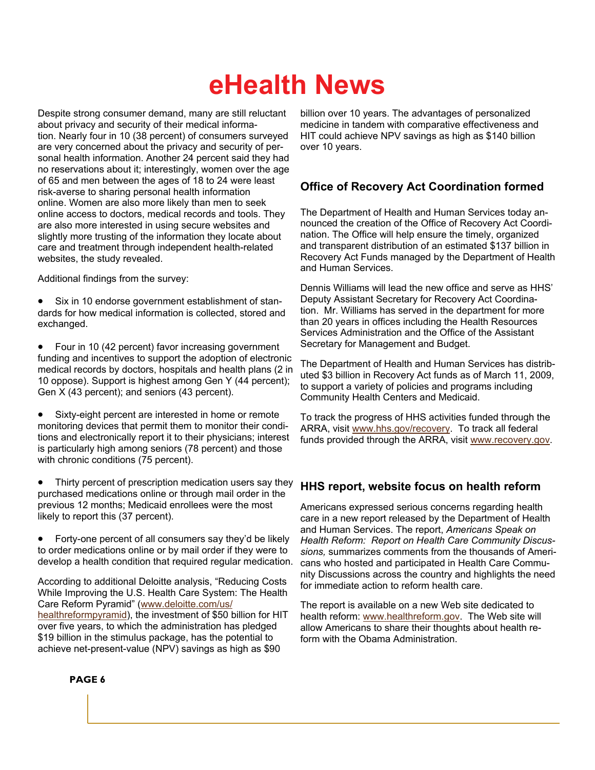Despite strong consumer demand, many are still reluctant about privacy and security of their medical information. Nearly four in 10 (38 percent) of consumers surveyed are very concerned about the privacy and security of personal health information. Another 24 percent said they had no reservations about it; interestingly, women over the age of 65 and men between the ages of 18 to 24 were least risk-averse to sharing personal health information online. Women are also more likely than men to seek online access to doctors, medical records and tools. They are also more interested in using secure websites and slightly more trusting of the information they locate about care and treatment through independent health-related websites, the study revealed.

Additional findings from the survey:

Six in 10 endorse government establishment of standards for how medical information is collected, stored and exchanged.

• Four in 10 (42 percent) favor increasing government funding and incentives to support the adoption of electronic medical records by doctors, hospitals and health plans (2 in 10 oppose). Support is highest among Gen Y (44 percent); Gen X (43 percent); and seniors (43 percent).

Sixty-eight percent are interested in home or remote monitoring devices that permit them to monitor their conditions and electronically report it to their physicians; interest is particularly high among seniors (78 percent) and those with chronic conditions (75 percent).

Thirty percent of prescription medication users say they purchased medications online or through mail order in the previous 12 months; Medicaid enrollees were the most likely to report this (37 percent).

• Forty-one percent of all consumers say they'd be likely to order medications online or by mail order if they were to develop a health condition that required regular medication.

According to additional Deloitte analysis, "Reducing Costs While Improving the U.S. Health Care System: The Health Care Reform Pyramid" [\(www.deloitte.com/us/](http://www.deloitte.com/us/healthreformpyramid) [healthreformpyramid](http://www.deloitte.com/us/healthreformpyramid)), the investment of \$50 billion for HIT over five years, to which the administration has pledged \$19 billion in the stimulus package, has the potential to achieve net-present-value (NPV) savings as high as \$90

billion over 10 years. The advantages of personalized medicine in tandem with comparative effectiveness and HIT could achieve NPV savings as high as \$140 billion over 10 years.

# **Office of Recovery Act Coordination formed**

The Department of Health and Human Services today announced the creation of the Office of Recovery Act Coordination. The Office will help ensure the timely, organized and transparent distribution of an estimated \$137 billion in Recovery Act Funds managed by the Department of Health and Human Services.

Dennis Williams will lead the new office and serve as HHS' Deputy Assistant Secretary for Recovery Act Coordination. Mr. Williams has served in the department for more than 20 years in offices including the Health Resources Services Administration and the Office of the Assistant Secretary for Management and Budget.

The Department of Health and Human Services has distributed \$3 billion in Recovery Act funds as of March 11, 2009, to support a variety of policies and programs including Community Health Centers and Medicaid.

To track the progress of HHS activities funded through the ARRA, visit [www.hhs.gov/recovery](http://www.hhs.gov/recovery/). To track all federal funds provided through the ARRA, visit [www.recovery.gov](http://www.recovery.gov).

### **HHS report, website focus on health reform**

Americans expressed serious concerns regarding health care in a new report released by the Department of Health and Human Services. The report, *Americans Speak on Health Reform: Report on Health Care Community Discussions,* summarizes comments from the thousands of Americans who hosted and participated in Health Care Community Discussions across the country and highlights the need for immediate action to reform health care.

The report is available on a new Web site dedicated to health reform: [www.healthreform.gov](http://www.healthreform.gov/). The Web site will allow Americans to share their thoughts about health reform with the Obama Administration.

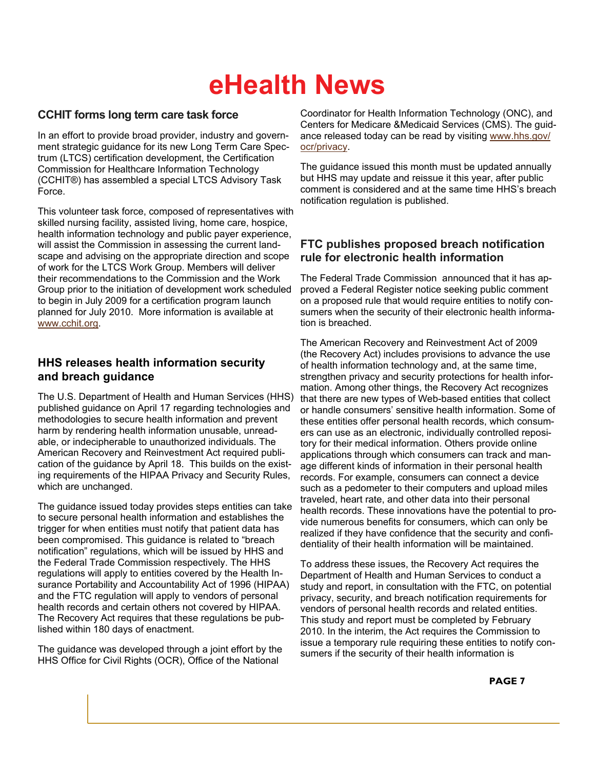## **CCHIT forms long term care task force**

In an effort to provide broad provider, industry and government strategic guidance for its new Long Term Care Spectrum (LTCS) certification development, the Certification Commission for Healthcare Information Technology (CCHIT®) has assembled a special LTCS Advisory Task Force.

This volunteer task force, composed of representatives with skilled nursing facility, assisted living, home care, hospice, health information technology and public payer experience, will assist the Commission in assessing the current landscape and advising on the appropriate direction and scope of work for the LTCS Work Group. Members will deliver their recommendations to the Commission and the Work Group prior to the initiation of development work scheduled to begin in July 2009 for a certification program launch planned for July 2010. More information is available at [www.cchit.org](http://www.cchit.org/).

## **HHS releases health information security and breach guidance**

The U.S. Department of Health and Human Services (HHS) published guidance on April 17 regarding technologies and methodologies to secure health information and prevent harm by rendering health information unusable, unreadable, or indecipherable to unauthorized individuals. The American Recovery and Reinvestment Act required publication of the guidance by April 18. This builds on the existing requirements of the HIPAA Privacy and Security Rules, which are unchanged.

The guidance issued today provides steps entities can take to secure personal health information and establishes the trigger for when entities must notify that patient data has been compromised. This guidance is related to "breach notification" regulations, which will be issued by HHS and the Federal Trade Commission respectively. The HHS regulations will apply to entities covered by the Health Insurance Portability and Accountability Act of 1996 (HIPAA) and the FTC regulation will apply to vendors of personal health records and certain others not covered by HIPAA. The Recovery Act requires that these regulations be published within 180 days of enactment.

The guidance was developed through a joint effort by the HHS Office for Civil Rights (OCR), Office of the National

Coordinator for Health Information Technology (ONC), and Centers for Medicare &Medicaid Services (CMS). The guidance released today can be read by visiting [www.hhs.gov/](http://www.hhs.gov/ocr/privacy) [ocr/privacy](http://www.hhs.gov/ocr/privacy).

The guidance issued this month must be updated annually but HHS may update and reissue it this year, after public comment is considered and at the same time HHS's breach notification regulation is published.

### **FTC publishes proposed breach notification rule for electronic health information**

The Federal Trade Commission announced that it has approved a Federal Register notice seeking public comment on a proposed rule that would require entities to notify consumers when the security of their electronic health information is breached.

The American Recovery and Reinvestment Act of 2009 (the Recovery Act) includes provisions to advance the use of health information technology and, at the same time, strengthen privacy and security protections for health information. Among other things, the Recovery Act recognizes that there are new types of Web-based entities that collect or handle consumers' sensitive health information. Some of these entities offer personal health records, which consumers can use as an electronic, individually controlled repository for their medical information. Others provide online applications through which consumers can track and manage different kinds of information in their personal health records. For example, consumers can connect a device such as a pedometer to their computers and upload miles traveled, heart rate, and other data into their personal health records. These innovations have the potential to provide numerous benefits for consumers, which can only be realized if they have confidence that the security and confidentiality of their health information will be maintained.

To address these issues, the Recovery Act requires the Department of Health and Human Services to conduct a study and report, in consultation with the FTC, on potential privacy, security, and breach notification requirements for vendors of personal health records and related entities. This study and report must be completed by February 2010. In the interim, the Act requires the Commission to issue a temporary rule requiring these entities to notify consumers if the security of their health information is